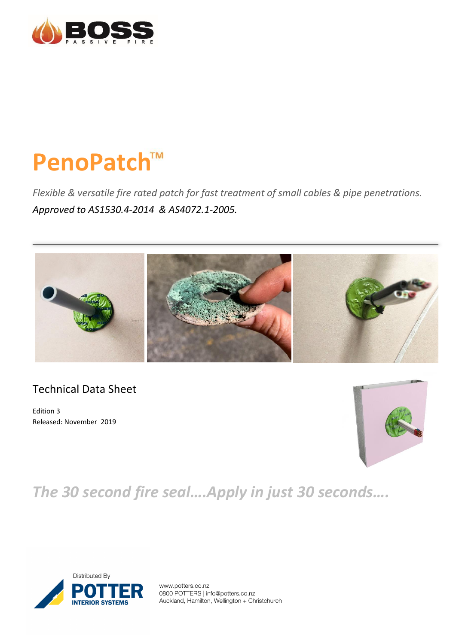

# **PenoPatch**

*Flexible & versatile fire rated patch for fast treatment of small cables & pipe penetrations. Approved to AS1530.4-2014 & AS4072.1-2005.*



# Technical Data Sheet

Edition 3 Released: November 2019



*The 30 second fire seal….Apply in just 30 seconds….*



www.potters.co.nz 0800 POTTERS | info@potters.co.nz Auckland, Hamilton, Wellington + Christchurch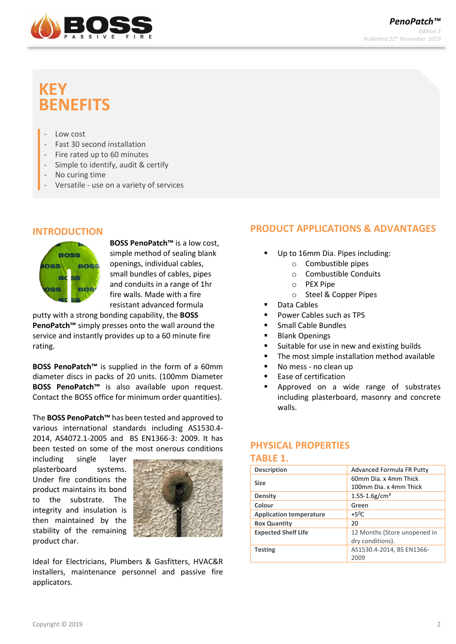

# **KEY BENEFITS**

- Low cost
- Fast 30 second installation
- Fire rated up to 60 minutes
- Simple to identify, audit & certify
- No curing time
- Versatile use on a variety of services

#### **INTRODUCTION**



**BOSS PenoPatch™** is a low cost, simple method of sealing blank openings, individual cables, small bundles of cables, pipes and conduits in a range of 1hr fire walls. Made with a fire resistant advanced formula

putty with a strong bonding capability, the **BOSS PenoPatch™** simply presses onto the wall around the service and instantly provides up to a 60 minute fire rating.

**BOSS PenoPatch™** is supplied in the form of a 60mm diameter discs in packs of 20 units. (100mm Diameter **BOSS PenoPatch™** is also available upon request. Contact the BOSS office for minimum order quantities).

The **BOSS PenoPatch™** has been tested and approved to various international standards including AS1530.4- 2014, AS4072.1-2005 and BS EN1366-3: 2009. It has been tested on some of the most onerous conditions

including single layer plasterboard systems. Under fire conditions the product maintains its bond to the substrate. The integrity and insulation is then maintained by the stability of the remaining product char.



Ideal for Electricians, Plumbers & Gasfitters, HVAC&R installers, maintenance personnel and passive fire applicators.

# **PRODUCT APPLICATIONS & ADVANTAGES**

- Up to 16mm Dia. Pipes including:
	- o Combustible pipes
		- o Combustible Conduits
		- $O$  PEX Pipe
	- o Steel & Copper Pipes
- Data Cables
- Power Cables such as TPS
- Small Cable Bundles
- Blank Openings
- Suitable for use in new and existing builds
- The most simple installation method available
- No mess no clean up
- Ease of certification
- Approved on a wide range of substrates including plasterboard, masonry and concrete walls.

#### **PHYSICAL PROPERTIES**

#### **TABLE 1.**

| <b>Description</b>             | Advanced Formula FR Putty      |  |  |
|--------------------------------|--------------------------------|--|--|
| <b>Size</b>                    | 60mm Dia. x 4mm Thick          |  |  |
|                                | 100mm Dia. x 4mm Thick         |  |  |
| Density                        | $1.55 - 1.6$ g/cm <sup>3</sup> |  |  |
| Colour                         | Green                          |  |  |
| <b>Application temperature</b> | $+5^{\circ}$ C                 |  |  |
| <b>Box Quantity</b>            | 20                             |  |  |
| <b>Expected Shelf Life</b>     | 12 Months (Store unopened in   |  |  |
|                                | dry conditions).               |  |  |
| <b>Testing</b>                 | AS1530.4-2014, BS EN1366-      |  |  |
|                                | 2009                           |  |  |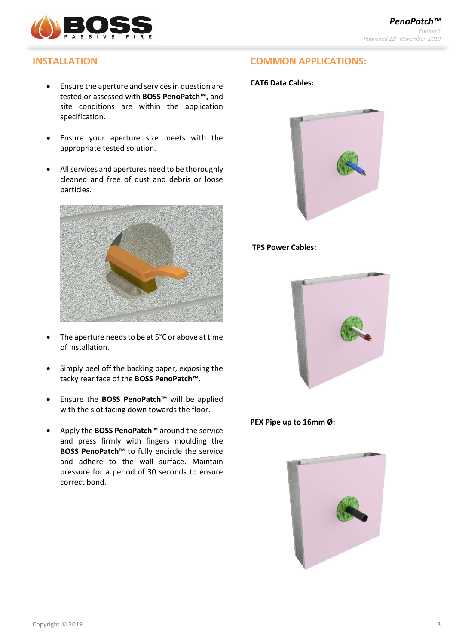

# **INSTALLATION**

- Ensure the aperture and services in question are tested or assessed with **BOSS PenoPatch™,** and site conditions are within the application specification.
- Ensure your aperture size meets with the appropriate tested solution.
- All services and apertures need to be thoroughly cleaned and free of dust and debris or loose particles.



- The aperture needs to be at 5°C or above at time of installation.
- Simply peel off the backing paper, exposing the tacky rear face of the **BOSS PenoPatch™**.
- Ensure the **BOSS PenoPatch™** will be applied with the slot facing down towards the floor.
- Apply the **BOSS PenoPatch™** around the service and press firmly with fingers moulding the **BOSS PenoPatch™** to fully encircle the service and adhere to the wall surface. Maintain pressure for a period of 30 seconds to ensure correct bond.

# **COMMON APPLICATIONS:**

#### **CAT6 Data Cables:**



#### **TPS Power Cables:**



**PEX Pipe up to 16mm Ø:**

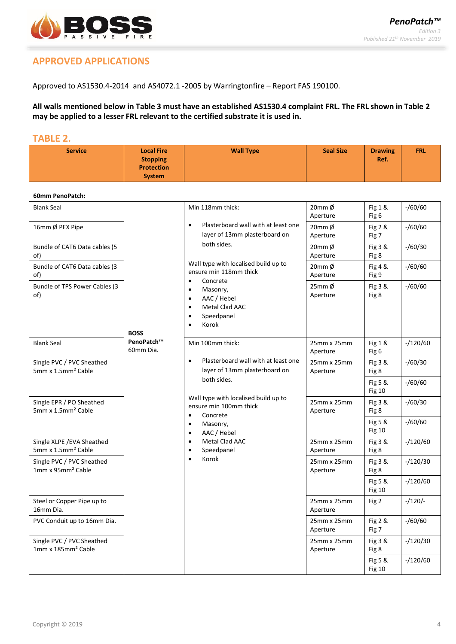

**Frawing** ERL

# **APPROVED APPLICATIONS**

Approved to AS1530.4-2014 and AS4072.1 -2005 by Warringtonfire – Report FAS 190100.

**Service Local Fire** 

**All walls mentioned below in Table 3 must have an established AS1530.4 complaint FRL. The FRL shown in Table 2 may be applied to a lesser FRL relevant to the certified substrate it is used in.** 

# **TABLE 2.**

| <b>Service</b>                                               | <b>Local Fire</b><br><b>Stopping</b><br><b>Protection</b><br><b>System</b> | <b>Wall Type</b>                                                                                                                                           | <b>Seal Size</b>           | <b>Drawing</b><br>Ref.   | <b>FRL</b>    |
|--------------------------------------------------------------|----------------------------------------------------------------------------|------------------------------------------------------------------------------------------------------------------------------------------------------------|----------------------------|--------------------------|---------------|
| 60mm PenoPatch:                                              |                                                                            |                                                                                                                                                            |                            |                          |               |
| <b>Blank Seal</b>                                            |                                                                            | Min 118mm thick:                                                                                                                                           | $20$ mm $\phi$<br>Aperture | Fig 1 &<br>Fig 6         | $-$ /60/60    |
| 16mm Ø PEX Pipe                                              |                                                                            | Plasterboard wall with at least one<br>$\bullet$<br>layer of 13mm plasterboard on                                                                          | 20mm Ø<br>Aperture         | Fig 2 &<br>Fig 7         | $-$ /60/60    |
| Bundle of CAT6 Data cables (5<br>of)                         |                                                                            | both sides.                                                                                                                                                | $20mm$ $\phi$<br>Aperture  | Fig 3 &<br>Fig 8         | $-$ /60/30    |
| Bundle of CAT6 Data cables (3<br>of)                         |                                                                            | Wall type with localised build up to<br>ensure min 118mm thick                                                                                             | $20mm$ $\phi$<br>Aperture  | Fig 4 &<br>Fig 9         | $-$ /60/60    |
| Bundle of TPS Power Cables (3<br>of)                         | <b>BOSS</b>                                                                | Concrete<br>$\bullet$<br>Masonry,<br>$\bullet$<br>AAC / Hebel<br>$\bullet$<br>Metal Clad AAC<br>$\bullet$<br>Speedpanel<br>$\bullet$<br>Korok<br>$\bullet$ | $25$ mm $\phi$<br>Aperture | Fig 3 &<br>Fig 8         | $- / 60 / 60$ |
| <b>Blank Seal</b>                                            | PenoPatch™<br>60mm Dia.                                                    | Min 100mm thick:                                                                                                                                           | 25mm x 25mm<br>Aperture    | Fig 1 &<br>Fig 6         | $-120/60$     |
| Single PVC / PVC Sheathed<br>5mm x 1.5mm <sup>2</sup> Cable  |                                                                            | Plasterboard wall with at least one<br>$\bullet$<br>layer of 13mm plasterboard on                                                                          | 25mm x 25mm<br>Aperture    | Fig 3 &<br>Fig 8         | $-$ /60/30    |
|                                                              |                                                                            | both sides.                                                                                                                                                |                            | Fig 5 &<br><b>Fig 10</b> | $-$ /60/60    |
| Single EPR / PO Sheathed<br>5mm x 1.5mm <sup>2</sup> Cable   |                                                                            | Wall type with localised build up to<br>ensure min 100mm thick<br>Concrete<br>$\bullet$                                                                    | 25mm x 25mm<br>Aperture    | Fig 3 &<br>Fig 8         | $- / 60 / 30$ |
|                                                              |                                                                            | Masonry,<br>٠<br>AAC / Hebel<br>$\bullet$                                                                                                                  |                            | Fig 5 &<br><b>Fig 10</b> | $-$ /60/60    |
| Single XLPE / EVA Sheathed<br>5mm x 1.5mm <sup>2</sup> Cable |                                                                            | Metal Clad AAC<br>$\bullet$<br>Speedpanel<br>$\bullet$                                                                                                     | 25mm x 25mm<br>Aperture    | Fig 3 &<br>Fig 8         | $-/120/60$    |
| Single PVC / PVC Sheathed<br>1mm x 95mm <sup>2</sup> Cable   |                                                                            | Korok<br>$\bullet$                                                                                                                                         | 25mm x 25mm<br>Aperture    | Fig 3 &<br>Fig 8         | $-120/30$     |
|                                                              |                                                                            |                                                                                                                                                            |                            | Fig 5 &<br><b>Fig 10</b> | $-/120/60$    |
| Steel or Copper Pipe up to<br>16mm Dia.                      |                                                                            |                                                                                                                                                            | 25mm x 25mm<br>Aperture    | Fig 2                    | $-120/-$      |
| PVC Conduit up to 16mm Dia.                                  |                                                                            |                                                                                                                                                            | 25mm x 25mm<br>Aperture    | Fig 2 &<br>Fig 7         | $-$ /60/60    |
| Single PVC / PVC Sheathed<br>1mm x 185mm <sup>2</sup> Cable  |                                                                            |                                                                                                                                                            | 25mm x 25mm<br>Aperture    | Fig 3 &<br>Fig 8         | $-/120/30$    |
|                                                              |                                                                            |                                                                                                                                                            |                            | Fig 5 &<br><b>Fig 10</b> | $-/120/60$    |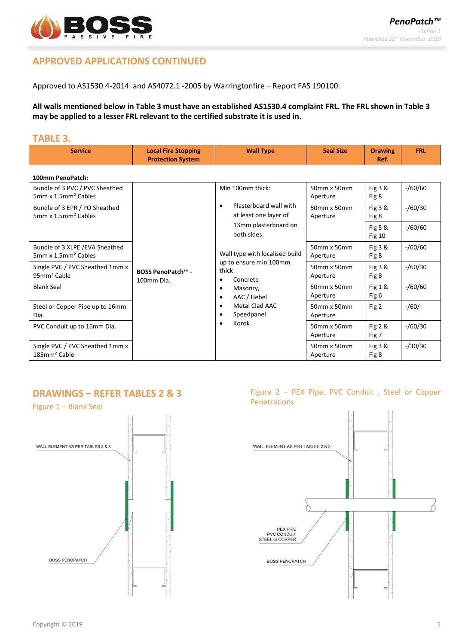

# **APPROVED APPLICATIONS CONTINUED**

Approved to AS1530.4-2014 and AS4072.1 -2005 by Warringtonfire – Report FAS 190100.

**All walls mentioned below in Table 3 must have an established AS1530.4 complaint FRL. The FRL shown in Table 3 may be applied to a lesser FRL relevant to the certified substrate it is used in.** 

#### **TABLE 3.**

| <b>Service</b>                                                    | <b>Local Fire Stopping</b><br><b>Protection System</b> | <b>Wall Type</b>                                                                                                | <b>Seal Size</b>              | <b>Drawing</b><br>Ref.     | <b>FRL</b> |
|-------------------------------------------------------------------|--------------------------------------------------------|-----------------------------------------------------------------------------------------------------------------|-------------------------------|----------------------------|------------|
| 100mm PenoPatch:                                                  |                                                        |                                                                                                                 |                               |                            |            |
| Bundle of 3 PVC / PVC Sheathed<br>5mm x 1.5mm <sup>2</sup> Cables | <b>BOSS PenoPatch™ -</b>                               | Min 100mm thick:<br>Plasterboard wall with<br>٠<br>at least one layer of<br>13mm plasterboard on<br>both sides. | 50mm x 50mm<br>Aperture       | Fig $3 &$<br>Fig 8         | $-$ /60/60 |
| Bundle of 3 EPR / PO Sheathed<br>5mm x 1.5mm <sup>2</sup> Cables  |                                                        |                                                                                                                 | $50$ mm x $50$ mm<br>Aperture | Fig $3 &$<br>Fig 8         | $-$ /60/30 |
|                                                                   |                                                        |                                                                                                                 |                               | Fig 5 $8$<br><b>Fig 10</b> | $-$ /60/60 |
| Bundle of 3 XLPE /EVA Sheathed<br>5mm x 1.5mm <sup>2</sup> Cables |                                                        | Wall type with localised build<br>up to ensure min 100mm<br>thick<br>$\sim$ $\sim$                              | $50$ mm x $50$ mm<br>Aperture | Fig $3 &$<br>Fig 8         | $-$ /60/60 |
| Single PVC / PVC Sheathed 1mm x<br>95mm <sup>2</sup> Cable        |                                                        |                                                                                                                 | 50mm x 50mm<br>Aperture       | Fig $3 &$<br>Fig 8         | $-$ /60/30 |

• Concrete • Masonry, • AAC / Hebel • Metal Clad AAC • Speedpanel • Korok

#### **DRAWINGS – REFER TABLES 2 & 3**

Steel or Copper Pipe up to 16mm

Single PVC / PVC Sheathed 1mm x

Dia.

185mm² Cable

100mm Dia.

Blank Seal **19 and Seal 19 and Seal 19 and Seal 19 and Seal 19 and Seal 19 and Seal 19 and Seal 19 and Seal 19 and Seal 19 and Seal 19 and Seal 19 and Seal 19 and Seal 19 and Seal 19 and Seal 19 and Seal 19 and Seal 19 and** 

PVC Conduit up to 16mm Dia. 50mm x 50mm



#### Figure 2 – PEX Pipe, PVC Conduit , Steel or Copper Penetrations

Fig 1 & Fig 6

Fig 2 & Fig 7

Fig 3 & Fig 8

Fig 2  $/60$ /-

-/60/60

-/60/30

-/30/30

Aperture

Aperture

50mm x 50mm Aperture

50mm x 50mm Aperture

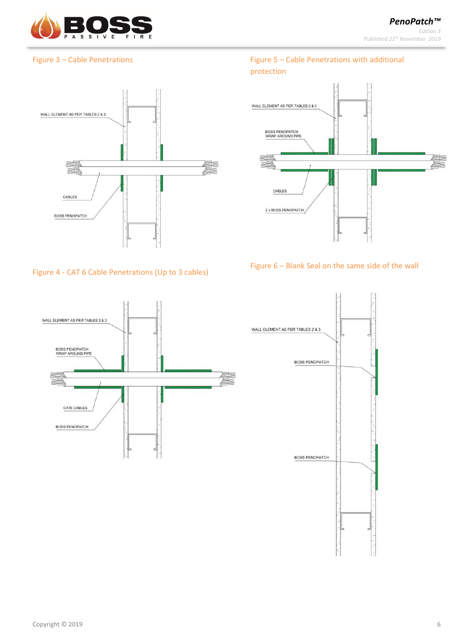

#### Figure 3 – Cable Penetrations



#### Figure 4 - CAT 6 Cable Penetrations (Up to 3 cables)





### Figure 5 – Cable Penetrations with additional protection



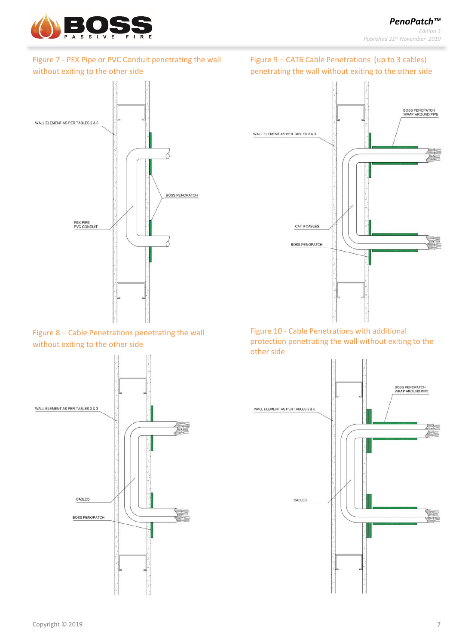

# Figure 7 - PEX Pipe or PVC Conduit penetrating the wall without exiting to the other side



Figure 8 – Cable Penetrations penetrating the wall without exiting to the other side





Figure 10 - Cable Penetrations with additional protection penetrating the wall without exiting to the other side

CAT 6 CABLES

**BOSS PENOPATCH** 



# Figure 9 – CAT6 Cable Penetrations (up to 3 cables) penetrating the wall without exiting to the other side